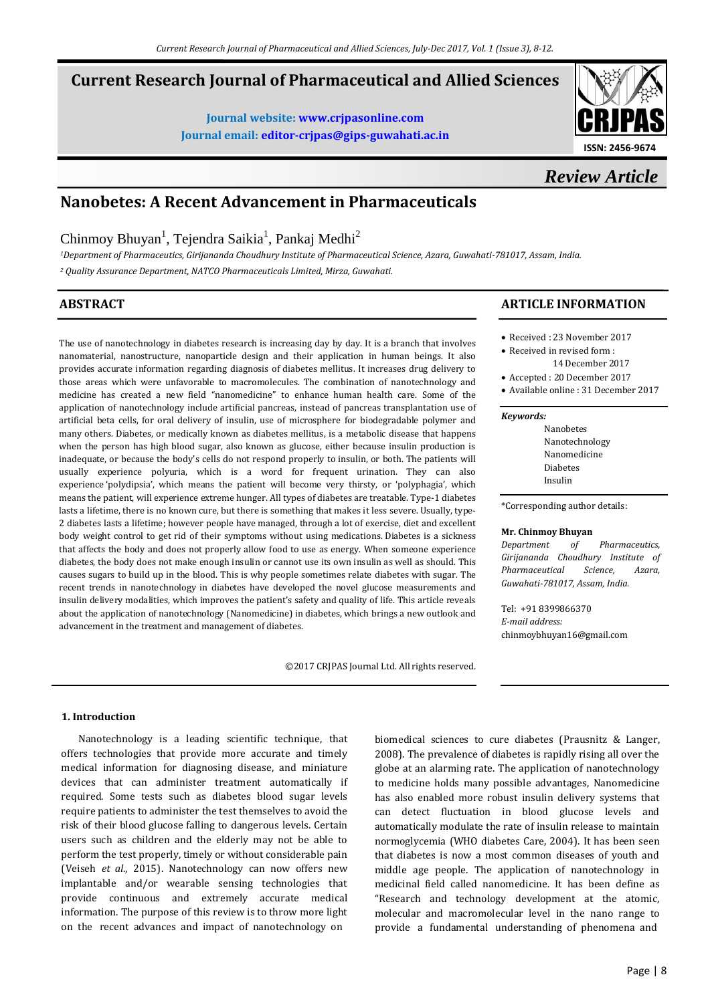# **Current Research Journal of Pharmaceutical and Allied Sciences**

**Journal website[: www.crjpasonline.com](http://www.crjpasonline.com/) Journal email: [editor-crjpas@gips-guwahati.ac.in](mailto:editor-crjpas@gips-guwahati.ac.in)**



*Review Article*

# **Nanobetes: A Recent Advancement in Pharmaceuticals**

Chinmoy Bhuyan<sup>1</sup>, Tejendra Saikia<sup>1</sup>, Pankaj Medhi<sup>2</sup>

*<sup>1</sup>Department of Pharmaceutics, Girijananda Choudhury Institute of Pharmaceutical Science, Azara, Guwahati-781017, Assam, India.*

*<sup>2</sup> Quality Assurance Department, NATCO Pharmaceuticals Limited, Mirza, Guwahati.*

# **ABSTRACT**

The use of nanotechnology in diabetes research is increasing day by day. It is a branch that involves nanomaterial, nanostructure, nanoparticle design and their application in human beings. It also provides accurate information regarding diagnosis of diabetes mellitus. It increases drug delivery to those areas which were unfavorable to macromolecules. The combination of nanotechnology and medicine has created a new field "nanomedicine" to enhance human health care. Some of the application of nanotechnology include artificial pancreas, instead of pancreas transplantation use of artificial beta cells, for oral delivery of insulin, use of microsphere for biodegradable polymer and many others. Diabetes, or medically known a[s diabetes mellitus,](http://www.medicalnewstoday.com/info/diabetes/) is a metabolic disease that happens when the person has high blood sugar, also known as glucose, either because insulin production is inadequate, or because the body's cells do not respond properly to insulin, or both. The patients will usually experience polyuria, which is a word for frequent urination. They can also experience 'polydipsia', which means the patient will become very thirsty, or 'polyphagia', which means the patient, will experience extreme hunger. All types of diabetes are treatable. Type-1 diabetes lasts a lifetime, there is no known cure, but there is something that makes it less severe. Usually, type-2 diabetes lasts a lifetime; however people have managed, through a lot of exercise, diet and excellent body weight control to get rid of their symptoms without using medications. [Diabetes is a sickness](http://www.cdc.gov/media/presskits/aahd/diabetes.pdf) that affects the body and does not properly allow food to use as energy. When someone experience diabetes, the body does not make enough insulin or cannot use its own insulin as well as should. This causes sugars to build up in the blood. This is why people sometimes relate diabetes with sugar. The recent trends in nanotechnology in diabetes have developed the novel glucose measurements and insulin delivery modalities, which improves the patient's safety and quality of life. This article reveals about the application of nanotechnology (Nanomedicine) in diabetes, which brings a new outlook and advancement in the treatment and management of diabetes.

©2017 CRJPAS Journal Ltd. All rights reserved.

# **ARTICLE INFORMATION**

- Received : 23 November 2017
- Received in revised form :
- 14 December 2017
- Accepted : 20 December 2017
- Available online : 31 December 2017

#### *Keywords:*

Nanobetes Nanotechnology Nanomedicine Diabetes Insulin

\*Corresponding author details:

#### **Mr. Chinmoy Bhuyan**

*Department of Pharmaceutics, Girijananda Choudhury Institute of Pharmaceutical Science, Azara, Guwahati-781017, Assam, India.*

Tel: +91 8399866370 *E-mail address:* chinmoybhuyan16@gmail.com

# **1. Introduction**

 Nanotechnology is a leading scientific technique, that offers technologies that provide more accurate and timely medical information for diagnosing disease, and miniature devices that can administer treatment automatically if required. Some tests such as diabetes blood sugar levels require patients to administer the test themselves to avoid the risk of their blood glucose falling to dangerous levels. Certain users such as children and the elderly may not be able to perform the test properly, timely or without considerable pain (Veiseh *et al*., 2015). Nanotechnology can now offers new implantable and/or wearable sensing technologies that provide continuous and extremely accurate medical information. The purpose of this review is to throw more light on the recent advances and impact of nanotechnology on

biomedical sciences to cure diabetes (Prausnitz & Langer, 2008). The prevalence of diabetes is rapidly rising all over the globe at an alarming rate. The application of nanotechnology to medicine holds many possible advantages, Nanomedicine has also enabled more robust insulin delivery systems that can detect fluctuation in blood glucose levels and automatically modulate the rate of insulin release to maintain normoglycemia (WHO diabetes Care, 2004). It has been seen that diabetes is now a most common diseases of youth and middle age people. The application of nanotechnology in medicinal field called nanomedicine. It has been define as "Research and technology development at the atomic, molecular and macromolecular level in the nano range to provide a fundamental understanding of phenomena and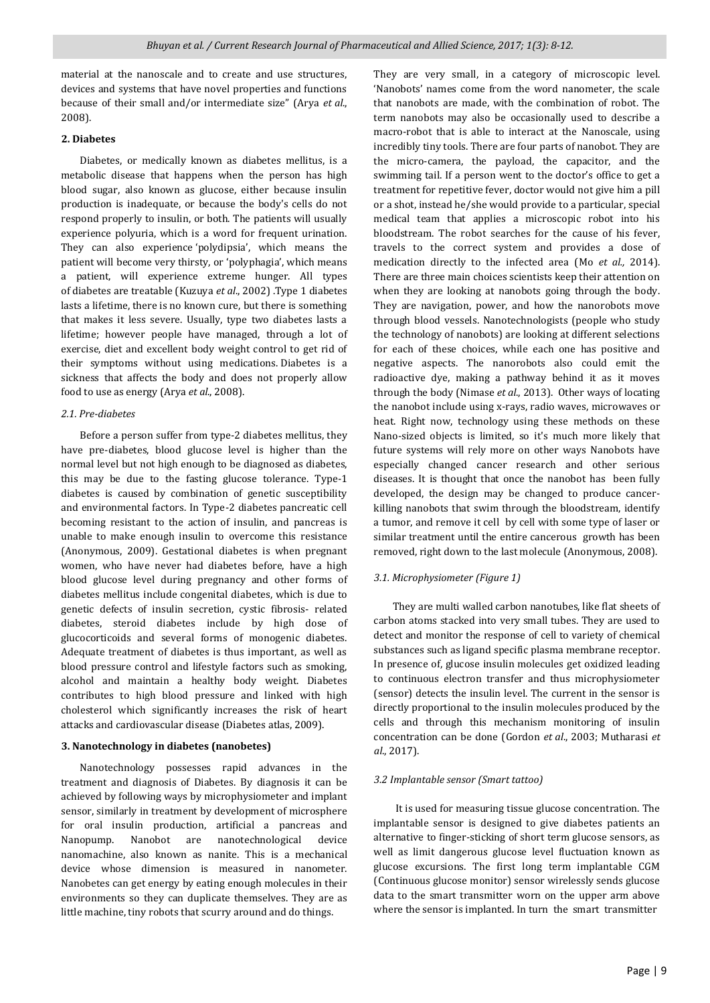material at the nanoscale and to create and use structures, devices and systems that have novel properties and functions because of their small and/or intermediate size" (Arya *et al*., 2008).

# **2. Diabetes**

 Diabetes, or medically known as [diabetes mellitus,](http://www.medicalnewstoday.com/info/diabetes/) is a metabolic disease that happens when the person has high blood sugar, also known as glucose, either because insulin production is inadequate, or because the body's cells do not respond properly to insulin, or both. The patients will usually experience polyuria, which is a word for frequent urination. They can also experience 'polydipsia', which means the patient will become very thirsty, or 'polyphagia', which means a patient, will experience extreme hunger. All types of diabetes are treatable (Kuzuya *et al*., 2002) .Type 1 diabetes lasts a lifetime, there is no known cure, but there is something that makes it less severe. Usually, type two diabetes lasts a lifetime; however people have managed, through a lot of exercise, diet and excellent body weight control to get rid of their symptoms without using medications. [Diabetes is a](http://www.cdc.gov/media/presskits/aahd/diabetes.pdf)  [sickness](http://www.cdc.gov/media/presskits/aahd/diabetes.pdf) that affects the body and does not properly allow food to use as energy (Arya *et al*., 2008).

## *2.1. Pre-diabetes*

 Before a person suffer from type-2 diabetes mellitus, they have pre-diabetes, blood glucose level is higher than the normal level but not high enough to be diagnosed as diabetes, this may be due to the fasting glucose tolerance. Type-1 diabetes is caused by combination of genetic susceptibility and environmental factors. In Type-2 diabetes pancreatic cell becoming resistant to the action of insulin, and pancreas is unable to make enough insulin to overcome this resistance (Anonymous, 2009). Gestational diabetes is when pregnant women, who have never had diabetes before, have a high blood glucose level during pregnancy and other forms of diabetes mellitus include congenital diabetes, which is due to genetic defects of insulin secretion, cystic fibrosis- related diabetes, steroid diabetes include by high dose of glucocorticoids and several forms of monogenic diabetes. Adequate treatment of diabetes is thus important, as well as blood pressure control and lifestyle factors such as smoking, alcohol and maintain a healthy body weight. Diabetes contributes to high blood pressure and linked with high cholesterol which significantly increases the risk of heart attacks and cardiovascular disease (Diabetes atlas, 2009).

# **3. Nanotechnology in diabetes (nanobetes)**

 Nanotechnology possesses rapid advances in the treatment and diagnosis of Diabetes. By diagnosis it can be achieved by following ways by microphysiometer and implant sensor, similarly in treatment by development of microsphere for oral insulin production, artificial a pancreas and Nanopump. Nanobot are nanotechnological device nanomachine, also known as nanite. This is a mechanical device whose dimension is measured in nanometer. Nanobetes can get energy by eating enough molecules in their environments so they can duplicate themselves. They are as little machine, tiny robots that scurry around and do things.

They are very small, in a category of microscopic level. 'Nanobots' names come from the word nanometer, the scale that nanobots are made, with the combination of robot. The term nanobots may also be occasionally used to describe a macro-robot that is able to interact at the Nanoscale, using incredibly tiny tools. There are four parts of nanobot. They are the micro-camera, the payload, the capacitor, and the swimming tail. If a person went to the doctor's office to get a treatment for repetitive fever, doctor would not give him a pill or a shot, instead he/she would provide to a particular, special medical team that applies a microscopic robot into his bloodstream. The robot searches for the cause of his fever, travels to the correct system and provides a dose of medication directly to the infected area (Mo *et al.,* 2014). There are three main choices scientists keep their attention on when they are looking at nanobots going through the body. They are navigation, power, and how the nanorobots move through blood vessels. Nanotechnologists (people who study the technology of nanobots) are looking at different selections for each of these choices, while each one has positive and negative aspects. The nanorobots also could emit the radioactive dye, making a pathway behind it as it moves through the body (Nimase *et al*., 2013). Other ways of locating the nanobot include using x-rays, radio waves, microwaves or heat. Right now, technology using these methods on these Nano-sized objects is limited, so it's much more likely that future systems will rely more on other ways Nanobots have especially changed cancer research and other serious diseases. It is thought that once the nanobot has been fully developed, the design may be changed to produce cancerkilling nanobots that swim through the bloodstream, identify a tumor, and remove it cell by cell with some type of laser or similar treatment until the entire cancerous growth has been removed, right down to the last molecule (Anonymous, 2008).

## *3.1. Microphysiometer (Figure 1)*

 They are multi walled carbon nanotubes, like flat sheets of carbon atoms stacked into very small tubes. They are used to detect and monitor the response of cell to variety of chemical substances such as ligand specific plasma membrane receptor. In presence of, glucose insulin molecules get oxidized leading to continuous electron transfer and thus microphysiometer (sensor) detects the insulin level. The current in the sensor is directly proportional to the insulin molecules produced by the cells and through this mechanism monitoring of insulin concentration can be done (Gordon *et al*., 2003; Mutharasi *et al*., 2017).

### *3.2 Implantable sensor (Smart tattoo)*

 It is used for measuring tissue glucose concentration. The implantable sensor is designed to give diabetes patients an alternative to finger-sticking of short term glucose sensors, as well as limit dangerous glucose level fluctuation known as glucose excursions. The first long term implantable CGM (Continuous glucose monitor) sensor wirelessly sends glucose data to the smart transmitter worn on the upper arm above where the sensor is implanted. In turn the smart transmitter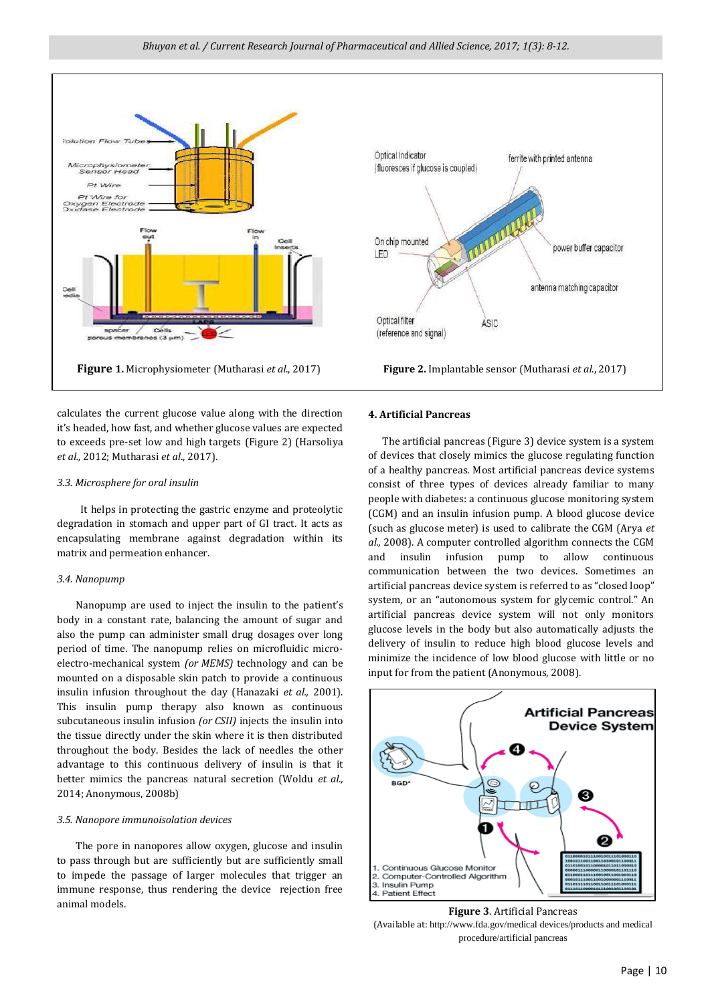

calculates the current glucose value along with the direction it's headed, how fast, and whether glucose values are expected to exceeds pre-set low and high targets (Figure 2) (Harsoliya *et al.,* 2012; Mutharasi *et al*., 2017).

## *3.3. Microsphere for oral insulin*

 It helps in protecting the gastric enzyme and proteolytic degradation in stomach and upper part of GI tract. It acts as encapsulating membrane against degradation within its matrix and permeation enhancer.

# *3.4. Nanopump*

 Nanopump are used to inject the insulin to the patient's body in a constant rate, balancing the amount of sugar and also the pump can administer small drug dosages over long period of time. The nanopump relies on microfluidic microelectro-mechanical system *(or MEMS)* technology and can be mounted on a disposable skin patch to provide a continuous insulin infusion throughout the day (Hanazaki *et al.,* 2001). This insulin pump therapy also known as continuous subcutaneous insulin infusion *(or CSII)* injects the insulin into the tissue directly under the skin where it is then distributed throughout the body. Besides the lack of needles the other advantage to this continuous delivery of insulin is that it better mimics the pancreas natural secretion (Woldu *et al.,* 2014; Anonymous, 2008b)

## *3.5. Nanopore immunoisolation devices*

 The pore in nanopores allow oxygen, glucose and insulin to pass through but are sufficiently but are sufficiently small to impede the passage of larger molecules that trigger an immune response, thus rendering the device rejection free animal models.



#### **4. Artificial Pancreas**

 The artificial pancreas (Figure 3) device system is a system of devices that closely mimics the glucose regulating function of a healthy pancreas. Most artificial pancreas device systems consist of three types of devices already familiar to many people with diabetes: a continuous glucose monitoring system (CGM) and an insulin infusion pump. A blood glucose device (such as glucose meter) is used to calibrate the CGM (Arya *et al.,* 2008). A computer controlled algorithm connects the CGM and insulin infusion pump to allow continuous communication between the two devices. Sometimes an artificial pancreas device system is referred to as "closed loop" system, or an "autonomous system for glycemic control." An artificial pancreas device system will not only monitors glucose levels in the body but also automatically adjusts the delivery of insulin to reduce high blood glucose levels and minimize the incidence of low blood glucose with little or no input for from the patient (Anonymous, 2008).



**Figure 3**. Artificial Pancreas (Available at: <http://www.fda.gov/medical> devices/products and medical procedure/artificial pancreas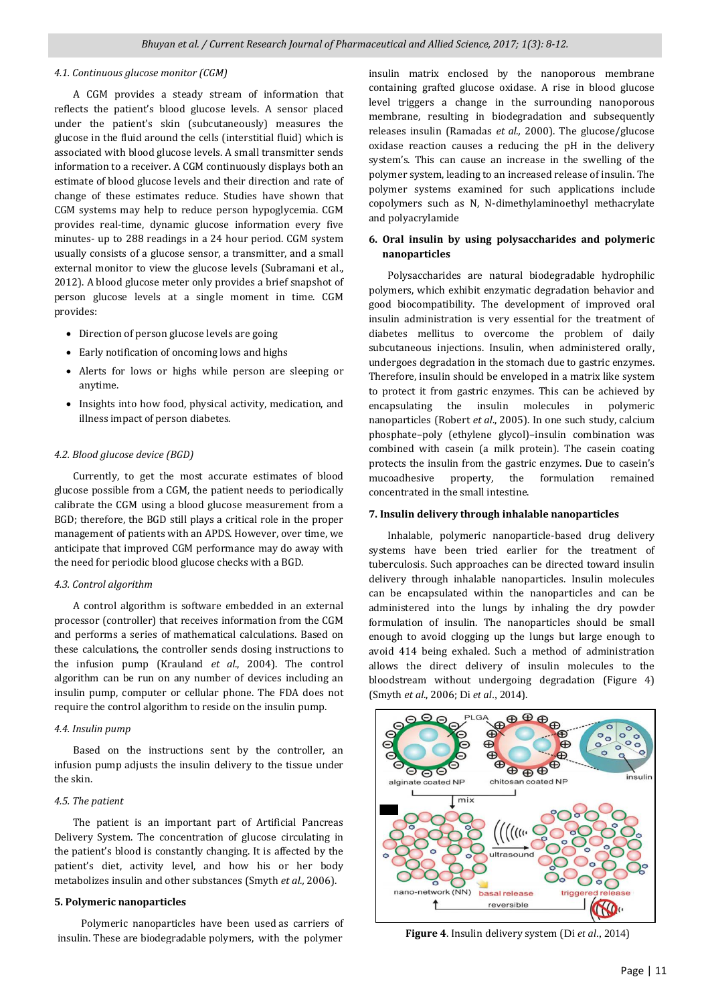## *4.1. Continuous glucose monitor (CGM)*

 A CGM provides a steady stream of information that reflects the patient's blood glucose levels. A sensor placed under the patient's skin (subcutaneously) measures the glucose in the fluid around the cells (interstitial fluid) which is associated with blood glucose levels. A small transmitter sends information to a receiver. A CGM continuously displays both an estimate of blood glucose levels and their direction and rate of change of these estimates reduce. Studies have shown that CGM systems may help to reduce person hypoglycemia. CGM provides real-time, dynamic glucose information every five minutes- up to 288 readings in a 24 hour period. CGM system usually consists of a glucose sensor, a transmitter, and a small external monitor to view the glucose levels (Subramani et al., 2012). A blood glucose meter only provides a brief snapshot of person glucose levels at a single moment in time. CGM provides:

- Direction of person glucose levels are going
- Early notification of oncoming lows and highs
- Alerts for lows or highs while person are sleeping or anytime.
- Insights into how food, physical activity, medication, and illness impact of person diabetes.

#### *4.2. Blood glucose device (BGD)*

 Currently, to get the most accurate estimates of blood glucose possible from a CGM, the patient needs to periodically calibrate the CGM using a blood glucose measurement from a BGD; therefore, the BGD still plays a critical role in the proper management of patients with an APDS. However, over time, we anticipate that improved CGM performance may do away with the need for periodic blood glucose checks with a BGD.

#### *4.3. Control algorithm*

 A control algorithm is software embedded in an external processor (controller) that receives information from the CGM and performs a series of mathematical calculations. Based on these calculations, the controller sends dosing instructions to the infusion pump (Krauland *et al*., 2004). The control algorithm can be run on any number of devices including an insulin pump, computer or cellular phone. The FDA does not require the control algorithm to reside on the insulin pump.

## *4.4. Insulin pump*

 Based on the instructions sent by the controller, an infusion pump adjusts the insulin delivery to the tissue under the skin.

#### *4.5. The patient*

 The patient is an important part of Artificial Pancreas Delivery System. The concentration of glucose circulating in the patient's blood is constantly changing. It is affected by the patient's diet, activity level, and how his or her body metabolizes insulin and other substances (Smyth *et al.,* 2006).

#### **5. Polymeric nanoparticles**

 Polymeric nanoparticles have been used as carriers of insulin. These are biodegradable polymers, with the polymer

insulin matrix enclosed by the nanoporous membrane containing grafted glucose oxidase. A rise in blood glucose level triggers a change in the surrounding nanoporous membrane, resulting in biodegradation and subsequently releases insulin (Ramadas *et al.,* 2000). The glucose/glucose oxidase reaction causes a reducing the pH in the delivery system's. This can cause an increase in the swelling of the polymer system, leading to an increased release of insulin. The polymer systems examined for such applications include copolymers such as N, N-dimethylaminoethyl methacrylate and polyacrylamide

# **6. Oral insulin by using polysaccharides and polymeric nanoparticles**

 Polysaccharides are natural biodegradable hydrophilic polymers, which exhibit enzymatic degradation behavior and good biocompatibility. The development of improved oral insulin administration is very essential for the treatment of diabetes mellitus to overcome the problem of daily subcutaneous injections. Insulin, when administered orally, undergoes degradation in the stomach due to gastric enzymes. Therefore, insulin should be enveloped in a matrix like system to protect it from gastric enzymes. This can be achieved by encapsulating the insulin molecules in polymeric nanoparticles (Robert *et al*., 2005). In one such study, calcium phosphate–poly (ethylene glycol)–insulin combination was combined with casein (a milk protein). The casein coating protects the insulin from the gastric enzymes. Due to casein's mucoadhesive property, the formulation remained concentrated in the small intestine.

#### **7. Insulin delivery through inhalable nanoparticles**

 Inhalable, polymeric nanoparticle-based drug delivery systems have been tried earlier for the treatment of tuberculosis. Such approaches can be directed toward insulin delivery through inhalable nanoparticles. Insulin molecules can be encapsulated within the nanoparticles and can be administered into the lungs by inhaling the dry powder formulation of insulin. The nanoparticles should be small enough to avoid clogging up the lungs but large enough to avoid 414 being exhaled. Such a method of administration allows the direct delivery of insulin molecules to the bloodstream without undergoing degradation (Figure 4) (Smyth *et al*., 2006; Di *et al*., 2014).



**Figure 4**. Insulin delivery system (Di *et al*., 2014)